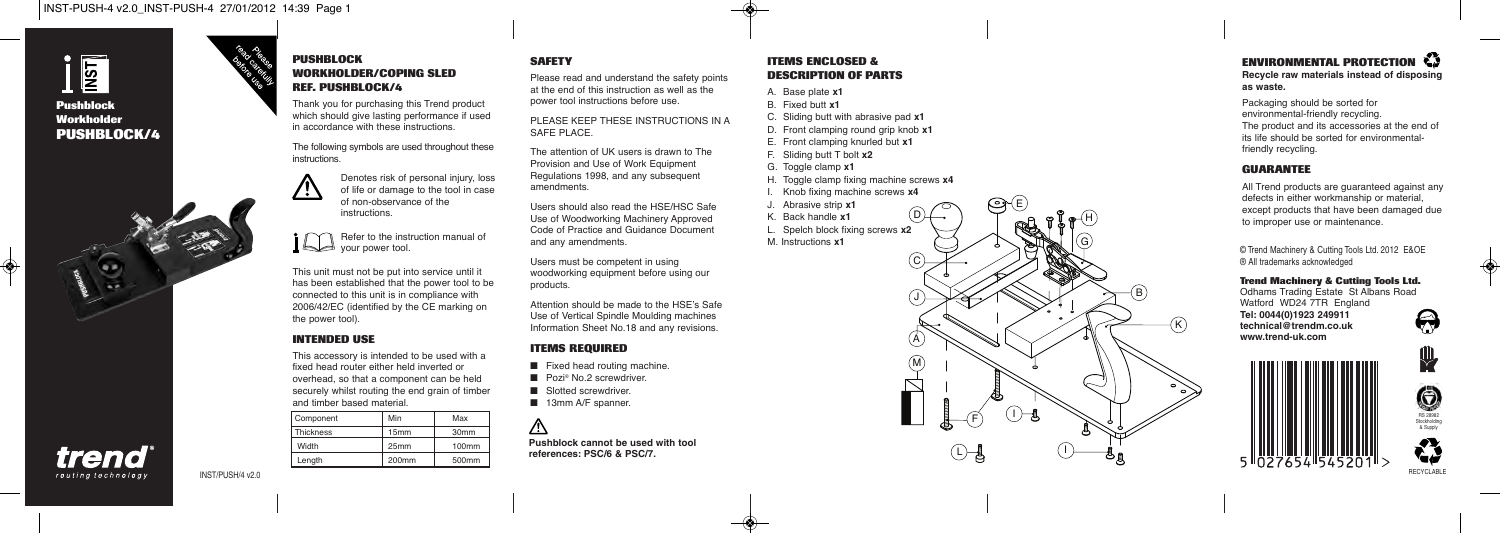

trend routing technology

## **Pushblock Workholder PUSHBLOCK/4**



### **PUSHBLOCK WORKHOLDER/COPING SLED REF. PUSHBLOCK/4**

Thank you for purchasing this Trend product which should give lasting performance if used in accordance with these instructions.

The following symbols are used throughout these instructions.



Refer to the instruction manual of your power tool.

This unit must not be put into service until it has been established that the power tool to be connected to this unit is in compliance with 2006/42/EC (identified by the CE marking on the power tool).

### **INTENDED USE**

This accessory is intended to be used with a fixed head router either held inverted or overhead, so that a component can be held securely whilst routing the end grain of timber and timber based material.

| Component | Min               | Max               |
|-----------|-------------------|-------------------|
| Thickness | 15mm              | 30 <sub>mm</sub>  |
| Width     | 25mm              | 100mm             |
| Length    | 200 <sub>mm</sub> | 500 <sub>mm</sub> |

### **SAFETY**

Please read and understand the safety points at the end of this instruction as well as the power tool instructions before use.

PLEASE KEEP THESE INSTRUCTIONS IN A SAFE PLACE.

The attention of UK users is drawn to The Provision and Use of Work Equipment Regulations 1998, and any subsequent amendments.

Users should also read the HSE/HSC Safe Use of Woodworking Machinery Approved Code of Practice and Guidance Document and any amendments.

Users must be competent in using woodworking equipment before using our products.

Attention should be made to the HSE's Safe Use of Vertical Spindle Moulding machines Information Sheet No.18 and any revisions.

### **ITEMS REQUIRED**

- Fixed head routing machine.
- Pozi® No.2 screwdriver
- Slotted screwdriver
- 13mm A/F spanner.

**Pushblock cannot be used with tool references: PSC/6 & PSC/7.**

### **ITEMS ENCLOSED & DESCRIPTION OF PARTS**

- A. Base plate **x1**
- B. Fixed butt **x1** C. Sliding butt with abrasive pad **x1** D. Front clamping round grip knob **x1**
- E. Front clamping knurled but **x1**
- F. Sliding butt T bolt **x2**
- G. Toggle clamp **x1**
- H. Toggle clamp fixing machine screws **x4**
- I. Knob fixing machine screws **x4**

J. Abrasive strip **x1** K. Back handle **x1**

L. Spelch block fixing screws **x2** M. Instructions **x1**



L

 $\bigcircled{C}$ 

B

I

 $\widehat{K}$ 

### **ENVIRONMENTAL PROTECTION Recycle raw materials instead of disposing as waste.**

Packaging should be sorted for environmental-friendly recycling. The product and its accessories at the end of its life should be sorted for environmentalfriendly recycling.

### **GUARANTEE**

All Trend products are guaranteed against any defects in either workmanship or material, except products that have been damaged due to improper use or maintenance.

© Trend Machinery & Cutting Tools Ltd. 2012 E&OE ® All trademarks acknowledged

### **Trend Machinery & Cutting Tools Ltd.**

Odhams Trading Estate St Albans Road

Watford WD24 7TR England **Tel: 0044(0)1923 249911 technical@trendm.co.uk www.trend-uk.com**



**A** 

RS 28982 **Stockholding** & Supply

RECYCLABLE

▓



INST/PUSH/4 v2.0